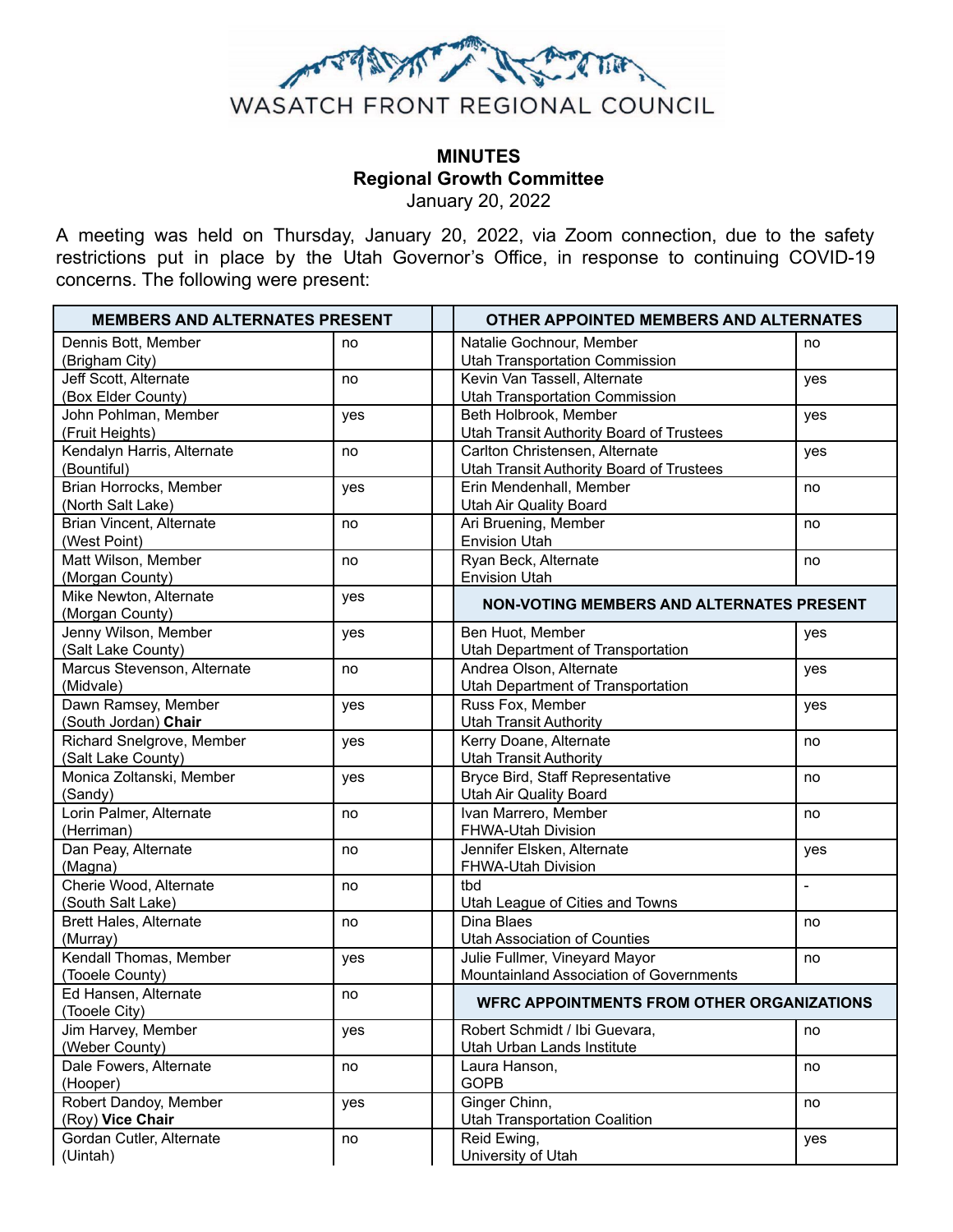

# **MINUTES Regional Growth Committee**

January 20, 2022

A meeting was held on Thursday, January 20, 2022, via Zoom connection, due to the safety restrictions put in place by the Utah Governor's Office, in response to continuing COVID-19 concerns. The following were present:

| <b>MEMBERS AND ALTERNATES PRESENT</b>           |     | OTHER APPOINTED MEMBERS AND ALTERNATES                                                   |  |
|-------------------------------------------------|-----|------------------------------------------------------------------------------------------|--|
| Dennis Bott, Member<br>(Brigham City)           | no  | Natalie Gochnour, Member<br>no<br><b>Utah Transportation Commission</b>                  |  |
| Jeff Scott, Alternate<br>(Box Elder County)     | no  | Kevin Van Tassell, Alternate<br>yes<br><b>Utah Transportation Commission</b>             |  |
| John Pohlman, Member<br>(Fruit Heights)         | yes | Beth Holbrook, Member<br>yes<br>Utah Transit Authority Board of Trustees                 |  |
| Kendalyn Harris, Alternate<br>(Bountiful)       | no  | Carlton Christensen, Alternate<br>yes<br><b>Utah Transit Authority Board of Trustees</b> |  |
| Brian Horrocks, Member<br>(North Salt Lake)     | yes | Erin Mendenhall, Member<br>no<br>Utah Air Quality Board                                  |  |
| Brian Vincent, Alternate<br>(West Point)        | no  | Ari Bruening, Member<br>no<br><b>Envision Utah</b>                                       |  |
| Matt Wilson, Member<br>(Morgan County)          | no  | Ryan Beck, Alternate<br>no<br><b>Envision Utah</b>                                       |  |
| Mike Newton, Alternate<br>(Morgan County)       | yes | <b>NON-VOTING MEMBERS AND ALTERNATES PRESENT</b>                                         |  |
| Jenny Wilson, Member<br>(Salt Lake County)      | yes | Ben Huot, Member<br>yes<br>Utah Department of Transportation                             |  |
| Marcus Stevenson, Alternate<br>(Midvale)        | no  | Andrea Olson, Alternate<br>yes<br>Utah Department of Transportation                      |  |
| Dawn Ramsey, Member<br>(South Jordan) Chair     | yes | Russ Fox, Member<br>yes<br><b>Utah Transit Authority</b>                                 |  |
| Richard Snelgrove, Member<br>(Salt Lake County) | yes | Kerry Doane, Alternate<br>no<br><b>Utah Transit Authority</b>                            |  |
| Monica Zoltanski, Member<br>(Sandy)             | yes | Bryce Bird, Staff Representative<br>no<br>Utah Air Quality Board                         |  |
| Lorin Palmer, Alternate<br>(Herriman)           | no  | Ivan Marrero, Member<br>no<br>FHWA-Utah Division                                         |  |
| Dan Peay, Alternate<br>(Magna)                  | no  | Jennifer Elsken, Alternate<br>yes<br>FHWA-Utah Division                                  |  |
| Cherie Wood, Alternate<br>(South Salt Lake)     | no  | tbd<br>$\overline{a}$<br>Utah League of Cities and Towns                                 |  |
| <b>Brett Hales, Alternate</b><br>(Murray)       | no  | Dina Blaes<br>no<br><b>Utah Association of Counties</b>                                  |  |
| Kendall Thomas, Member<br>(Tooele County)       | yes | Julie Fullmer, Vineyard Mayor<br>no<br>Mountainland Association of Governments           |  |
| Ed Hansen, Alternate<br>(Tooele City)           | no  | <b>WFRC APPOINTMENTS FROM OTHER ORGANIZATIONS</b>                                        |  |
| Jim Harvey, Member<br>(Weber County)            | yes | Robert Schmidt / Ibi Guevara,<br>no<br>Utah Urban Lands Institute                        |  |
| Dale Fowers, Alternate<br>(Hooper)              | no  | Laura Hanson,<br>no<br><b>GOPB</b>                                                       |  |
| Robert Dandoy, Member<br>(Roy) Vice Chair       | yes | Ginger Chinn,<br>no<br><b>Utah Transportation Coalition</b>                              |  |
| Gordan Cutler, Alternate<br>(Uintah)            | no  | Reid Ewing,<br>yes<br>University of Utah                                                 |  |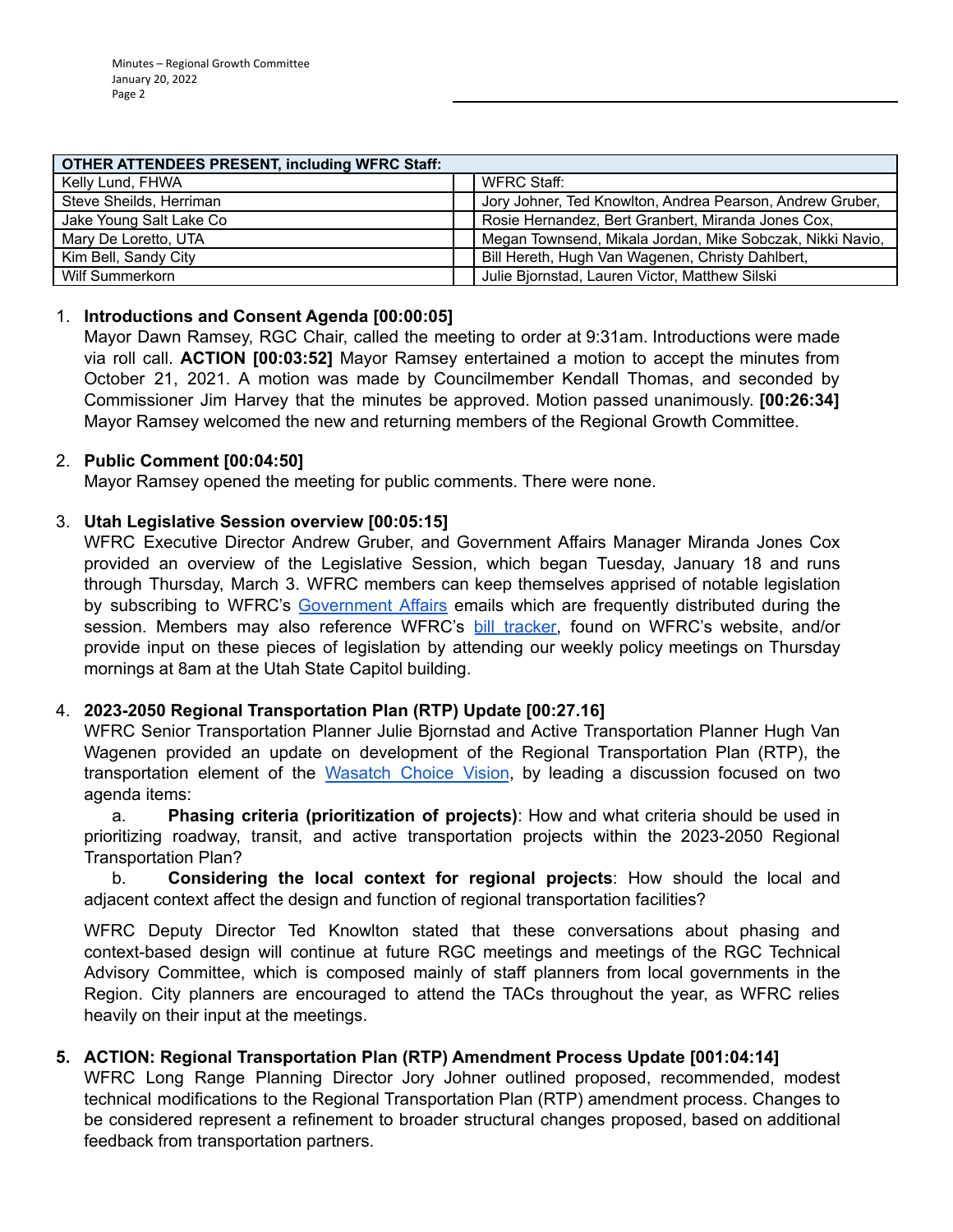| <b>OTHER ATTENDEES PRESENT, including WFRC Staff:</b> |  |                                                           |
|-------------------------------------------------------|--|-----------------------------------------------------------|
| Kelly Lund, FHWA                                      |  | WFRC Staff:                                               |
| Steve Sheilds, Herriman                               |  | Jory Johner, Ted Knowlton, Andrea Pearson, Andrew Gruber, |
| Jake Young Salt Lake Co                               |  | Rosie Hernandez, Bert Granbert, Miranda Jones Cox,        |
| Mary De Loretto, UTA                                  |  | Megan Townsend, Mikala Jordan, Mike Sobczak, Nikki Navio, |
| Kim Bell, Sandy City                                  |  | Bill Hereth, Hugh Van Wagenen, Christy Dahlbert,          |
| Wilf Summerkorn                                       |  | Julie Bjornstad, Lauren Victor, Matthew Silski            |

# 1. **Introductions and Consent Agenda [00:00:05]**

Mayor Dawn Ramsey, RGC Chair, called the meeting to order at 9:31am. Introductions were made via roll call. **ACTION [00:03:52]** Mayor Ramsey entertained a motion to accept the minutes from October 21, 2021. A motion was made by Councilmember Kendall Thomas, and seconded by Commissioner Jim Harvey that the minutes be approved. Motion passed unanimously. **[00:26:34]** Mayor Ramsey welcomed the new and returning members of the Regional Growth Committee.

#### 2. **Public Comment [00:04:50]**

Mayor Ramsey opened the meeting for public comments. There were none.

# 3. **Utah Legislative Session overview [00:05:15]**

WFRC Executive Director Andrew Gruber, and Government Affairs Manager Miranda Jones Cox provided an overview of the Legislative Session, which began Tuesday, January 18 and runs through Thursday, March 3. WFRC members can keep themselves apprised of notable legislation by subscribing to WFRC's [Government Affairs](https://wfrc.org/public-involvement/governmental-affairs-2/) emails which are frequently distributed during the session. Members may also reference WFRC's [bill tracker,](https://wfrc.org/billtracker/) found on WFRC's website, and/or provide input on these pieces of legislation by attending our weekly policy meetings on Thursday mornings at 8am at the Utah State Capitol building.

# 4. **2023-2050 Regional Transportation Plan (RTP) Update [00:27.16]**

WFRC Senior Transportation Planner Julie Bjornstad and Active Transportation Planner Hugh Van Wagenen provided an update on development of the Regional Transportation Plan (RTP), the transportation element of the [Wasatch Choice Vision](https://wfrc.org/wasatch-choice-regional-vision-wcrv/), by leading a discussion focused on two agenda items:

a. **Phasing criteria (prioritization of projects)**: How and what criteria should be used in prioritizing roadway, transit, and active transportation projects within the 2023-2050 Regional Transportation Plan?

b. **Considering the local context for regional projects**: How should the local and adjacent context affect the design and function of regional transportation facilities?

WFRC Deputy Director Ted Knowlton stated that these conversations about phasing and context-based design will continue at future RGC meetings and meetings of the RGC Technical Advisory Committee, which is composed mainly of staff planners from local governments in the Region. City planners are encouraged to attend the TACs throughout the year, as WFRC relies heavily on their input at the meetings.

# **5. ACTION: Regional Transportation Plan (RTP) Amendment Process Update [001:04:14]**

WFRC Long Range Planning Director Jory Johner outlined proposed, recommended, modest technical modifications to the Regional Transportation Plan (RTP) amendment process. Changes to be considered represent a refinement to broader structural changes proposed, based on additional feedback from transportation partners.